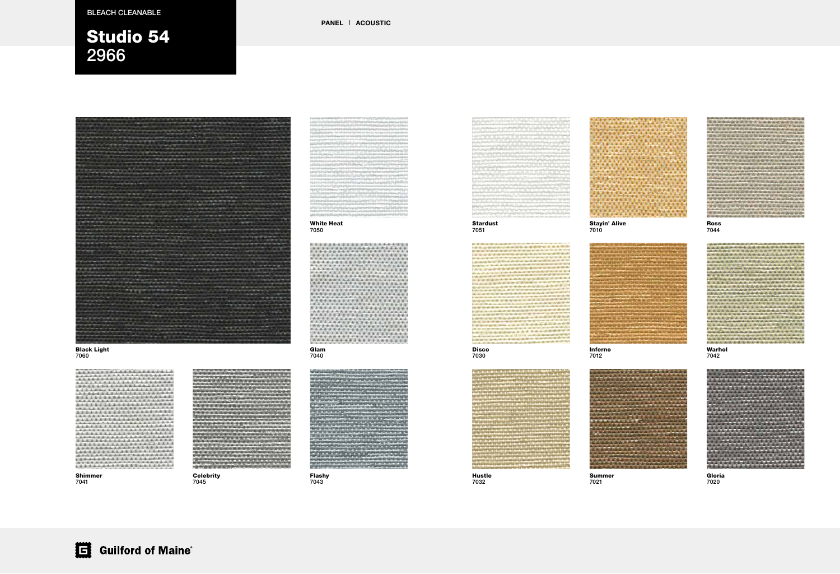#### Stardust 7051

#### Disco 7030



#### Black Light 7060

21.22.23.24.25.25.26.27 100600000000000000 化高温水平压压法医高温水平压压法 . . . . . . . . . . . . . . . 法法国家家法法法法法法法法法 高度海道指南高度高度通道 医舌盆面皮质皮肤水面  $4 - 1 - 1 - 1 - 1$ **Science Andrew**  $-5 - 8 - 8 - 4 - 4 - 8 - 8$ 在国家品面画面上的画面 Children College 40408-8-30806-8-8-8-9 **A R. A. E. A A A A A A A A A A A A A A A** 

> Hustle 7032

#### Shimmer

#### **Celebrity** 7045



7041

1144899

#### Stayin' Alive 7010



Inferno 7012



#### Summer 7021



#### White Heat 7050



Warhol 7042

#### Glam 7040







Gloria 7020





PANEL | ACOUSTIC











### BLEACH CLEANABLE BLEACH CLEANABLE

# Studio 54 2966